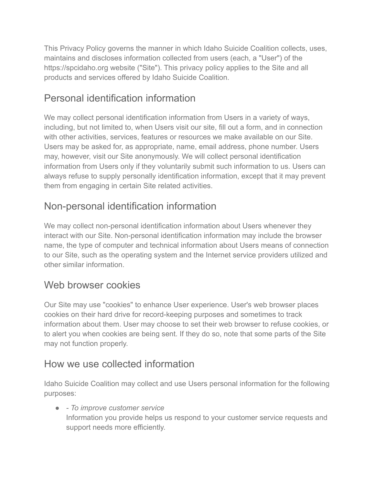This Privacy Policy governs the manner in which Idaho Suicide Coalition collects, uses, maintains and discloses information collected from users (each, a "User") of the https://spcidaho.org website ("Site"). This privacy policy applies to the Site and all products and services offered by Idaho Suicide Coalition.

# Personal identification information

We may collect personal identification information from Users in a variety of ways, including, but not limited to, when Users visit our site, fill out a form, and in connection with other activities, services, features or resources we make available on our Site. Users may be asked for, as appropriate, name, email address, phone number. Users may, however, visit our Site anonymously. We will collect personal identification information from Users only if they voluntarily submit such information to us. Users can always refuse to supply personally identification information, except that it may prevent them from engaging in certain Site related activities.

# Non-personal identification information

We may collect non-personal identification information about Users whenever they interact with our Site. Non-personal identification information may include the browser name, the type of computer and technical information about Users means of connection to our Site, such as the operating system and the Internet service providers utilized and other similar information.

## Web browser cookies

Our Site may use "cookies" to enhance User experience. User's web browser places cookies on their hard drive for record-keeping purposes and sometimes to track information about them. User may choose to set their web browser to refuse cookies, or to alert you when cookies are being sent. If they do so, note that some parts of the Site may not function properly.

## How we use collected information

Idaho Suicide Coalition may collect and use Users personal information for the following purposes:

● *- To improve customer service* Information you provide helps us respond to your customer service requests and support needs more efficiently.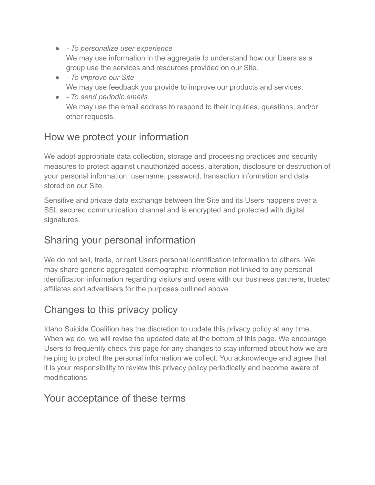- *To personalize user experience* We may use information in the aggregate to understand how our Users as a group use the services and resources provided on our Site.
- *To improve our Site* We may use feedback you provide to improve our products and services.
- *To send periodic emails* We may use the email address to respond to their inquiries, questions, and/or other requests.

## How we protect your information

We adopt appropriate data collection, storage and processing practices and security measures to protect against unauthorized access, alteration, disclosure or destruction of your personal information, username, password, transaction information and data stored on our Site.

Sensitive and private data exchange between the Site and its Users happens over a SSL secured communication channel and is encrypted and protected with digital signatures.

## Sharing your personal information

We do not sell, trade, or rent Users personal identification information to others. We may share generic aggregated demographic information not linked to any personal identification information regarding visitors and users with our business partners, trusted affiliates and advertisers for the purposes outlined above.

## Changes to this privacy policy

Idaho Suicide Coalition has the discretion to update this privacy policy at any time. When we do, we will revise the updated date at the bottom of this page. We encourage Users to frequently check this page for any changes to stay informed about how we are helping to protect the personal information we collect. You acknowledge and agree that it is your responsibility to review this privacy policy periodically and become aware of modifications.

#### Your acceptance of these terms